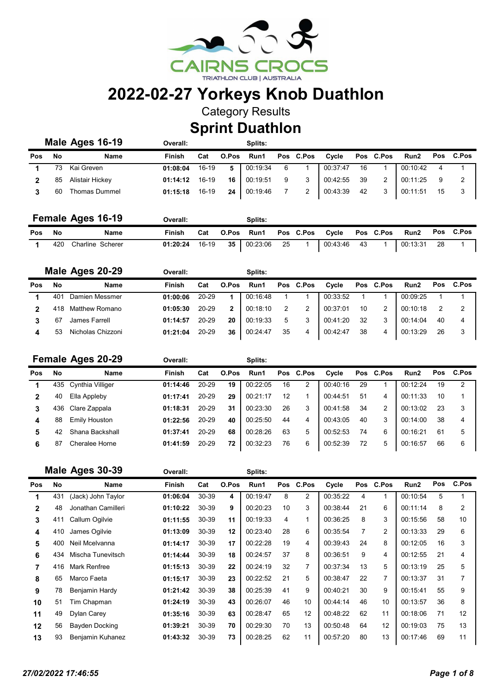

Category Results

Sprint Duathlon

|     |     | Male Ages 16-19      | Overall:      |         |       | Splits:  |    |           |          |     |           |          |    |           |
|-----|-----|----------------------|---------------|---------|-------|----------|----|-----------|----------|-----|-----------|----------|----|-----------|
| Pos | No  | <b>Name</b>          | <b>Finish</b> | Cat     | O.Pos | Run1     |    | Pos C.Pos | Cvcle    |     | Pos C.Pos | Run2     |    | Pos C.Pos |
|     | 73. | Kai Greven           | 01:08:04      | 16-19   | 5     | 00:19:34 | -6 |           | 00:37:47 | 16  |           | 00:10:42 |    |           |
|     | 85  | Alistair Hickey      | 01:14:12      | 16-19   | 16    | 00:19:51 | 9  | 3         | 00:42:55 | -39 | 2         | 00:11:25 |    |           |
|     | 60  | <b>Thomas Dummel</b> | 01:15:18      | $16-19$ | 24    | 00:19:46 |    |           | 00:43:39 | 42  | 3         | 00:11:51 | 15 |           |

|     |      | <b>Female Ages 16-19</b> | Overall: |       | Splits:                        |     |             |                  |          |    |           |
|-----|------|--------------------------|----------|-------|--------------------------------|-----|-------------|------------------|----------|----|-----------|
| Pos | - No | Name                     | Finish   |       | Cat O.Pos Run1 Pos C.Pos Cycle |     |             | <b>Pos</b> C.Pos | Run2     |    | Pos C.Pos |
|     | 420  | Charline Scherer         | 01:20:24 | 16-19 | <b>35</b> 00:23:06             | -25 | 00:43:46 43 |                  | 00:13:31 | 28 |           |

|     |     | Male Ages 20-29   | Overall:      |           |       | Splits:  |    |           |          |    |                |                  |    |           |
|-----|-----|-------------------|---------------|-----------|-------|----------|----|-----------|----------|----|----------------|------------------|----|-----------|
| Pos | No  | Name              | <b>Finish</b> | Cat       | O.Pos | Run1     |    | Pos C.Pos | Cycle    |    | Pos C.Pos      | Run <sub>2</sub> |    | Pos C.Pos |
|     | 40. | Damien Messmer    | 01:00:06      | 20-29     |       | 00:16:48 |    |           | 00:33:52 |    |                | 00:09:25         |    |           |
|     |     | Matthew Romano    | 01:05:30      | 20-29     | 2     | 00:18:10 |    | 2         | 00:37:01 | 10 | $\overline{2}$ | 00:10:18         |    | -2        |
|     |     | James Farrell     | 01:14:57      | 20-29     | 20    | 00:19:33 | 5  | 3         | 00:41:20 | 32 | 3              | 00:14:04         | 40 | 4         |
|     | 53  | Nicholas Chizzoni | 01:21:04      | $20 - 29$ | 36    | 00:24:47 | 35 | 4         | 00:42:47 | 38 | 4              | 00:13:29         | 26 | 3         |

|            |     | <b>Female Ages 20-29</b> | Overall: |           |       | Splits:  |    |           |          |    |           |                  |     |                |
|------------|-----|--------------------------|----------|-----------|-------|----------|----|-----------|----------|----|-----------|------------------|-----|----------------|
| <b>Pos</b> | No  | Name                     | Finish   | Cat       | O.Pos | Run1     |    | Pos C.Pos | Cycle    |    | Pos C.Pos | Run <sub>2</sub> | Pos | C.Pos          |
|            | 435 | Cynthia Villiger         | 01:14:46 | 20-29     | 19    | 00:22:05 | 16 | 2         | 00:40:16 | 29 |           | 00:12:24         | 19  | $\overline{2}$ |
|            | 40  | Ella Appleby             | 01:17:41 | 20-29     | 29    | 00:21:17 | 12 |           | 00:44:51 | 51 | 4         | 00:11:33         | 10  |                |
| 3          | 436 | Clare Zappala            | 01:18:31 | $20 - 29$ | 31    | 00:23:30 | 26 | 3         | 00:41:58 | 34 | 2         | 00:13:02         | 23  | 3              |
| 4          | 88  | <b>Emily Houston</b>     | 01:22:56 | 20-29     | 40    | 00:25:50 | 44 | 4         | 00:43:05 | 40 | 3         | 00:14:00         | 38  | 4              |
| 5          | 42  | Shana Backshall          | 01:37:41 | 20-29     | 68    | 00:28:26 | 63 | 5         | 00:52:53 | 74 | 6         | 00:16:21         | 61  | 5              |
|            | 87  | Cheralee Horne           | 01:41:59 | 20-29     | 72    | 00:32:23 | 76 | 6         | 00:52:39 | 72 | 5         | 00:16:57         | 66  | 6              |

|              |     | Male Ages 30-39    | Overall:      |       |       | Splits:  |     |                |          |     |       |                  |     |                |
|--------------|-----|--------------------|---------------|-------|-------|----------|-----|----------------|----------|-----|-------|------------------|-----|----------------|
| Pos          | No  | Name               | <b>Finish</b> | Cat   | O.Pos | Run1     | Pos | C.Pos          | Cycle    | Pos | C.Pos | Run <sub>2</sub> | Pos | C.Pos          |
|              | 431 | (Jack) John Taylor | 01:06:04      | 30-39 | 4     | 00:19:47 | 8   | $\overline{2}$ | 00:35:22 | 4   |       | 00:10:54         | 5   |                |
| $\mathbf{2}$ | 48  | Jonathan Camilleri | 01:10:22      | 30-39 | 9     | 00:20:23 | 10  | 3              | 00:38:44 | 21  | 6     | 00:11:14         | 8   | $\overline{2}$ |
| 3            | 411 | Callum Ogilvie     | 01:11:55      | 30-39 | 11    | 00:19:33 | 4   | 1              | 00:36:25 | 8   | 3     | 00:15:56         | 58  | 10             |
| 4            | 410 | James Ogilvie      | 01:13:09      | 30-39 | 12    | 00:23:40 | 28  | 6              | 00:35:54 | 7   | 2     | 00:13:33         | 29  | 6              |
| 5            | 400 | Neil Mcelvanna     | 01:14:17      | 30-39 | 17    | 00:22:28 | 19  | 4              | 00:39:43 | 24  | 8     | 00:12:05         | 16  | 3              |
| 6            | 434 | Mischa Tunevitsch  | 01:14:44      | 30-39 | 18    | 00:24:57 | 37  | 8              | 00:36:51 | 9   | 4     | 00:12:55         | 21  | $\overline{4}$ |
| 7            | 416 | Mark Renfree       | 01:15:13      | 30-39 | 22    | 00:24:19 | 32  | 7              | 00:37:34 | 13  | 5     | 00:13:19         | 25  | 5              |
| 8            | 65  | Marco Faeta        | 01:15:17      | 30-39 | 23    | 00:22:52 | 21  | 5              | 00:38:47 | 22  | 7     | 00:13:37         | 31  | 7              |
| 9            | 78  | Benjamin Hardy     | 01:21:42      | 30-39 | 38    | 00:25:39 | 41  | 9              | 00:40:21 | 30  | 9     | 00:15:41         | 55  | 9              |
| 10           | 51  | Tim Chapman        | 01:24:19      | 30-39 | 43    | 00:26:07 | 46  | 10             | 00:44:14 | 46  | 10    | 00:13:57         | 36  | 8              |
| 11           | 49  | Dylan Carey        | 01:35:16      | 30-39 | 63    | 00:28:47 | 65  | 12             | 00:48:22 | 62  | 11    | 00:18:06         | 71  | 12             |
| 12           | 56  | Bayden Docking     | 01:39:21      | 30-39 | 70    | 00:29:30 | 70  | 13             | 00:50:48 | 64  | 12    | 00:19:03         | 75  | 13             |
| 13           | 93  | Benjamin Kuhanez   | 01:43:32      | 30-39 | 73    | 00:28:25 | 62  | 11             | 00:57:20 | 80  | 13    | 00:17:46         | 69  | 11             |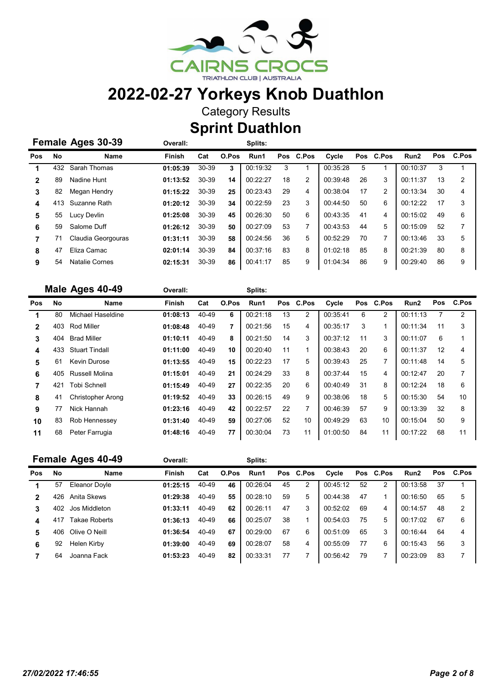

Category Results

Sprint Duathlon

Overall: Splits:

| Female Ages 30-39 |  |  |
|-------------------|--|--|
|                   |  |  |

| <b>Pos</b> | No  | Name                  | <b>Finish</b> | Cat   | O.Pos | Run1     |    | Pos C.Pos | Cycle    |    | Pos C.Pos      | Run <sub>2</sub> |    | Pos C.Pos      |
|------------|-----|-----------------------|---------------|-------|-------|----------|----|-----------|----------|----|----------------|------------------|----|----------------|
|            | 432 | Sarah Thomas          | 01:05:39      | 30-39 | 3     | 00:19:32 | 3  |           | 00:35:28 | 5  |                | 00:10:37         |    |                |
|            | 89  | Nadine Hunt           | 01:13:52      | 30-39 | 14    | 00:22:27 | 18 | 2         | 00:39:48 | 26 | 3              | 00:11:37         | 13 | $\overline{2}$ |
| 3          | 82  | Megan Hendry          | 01:15:22      | 30-39 | 25    | 00:23:43 | 29 | 4         | 00:38:04 | 17 | $\overline{2}$ | 00:13:34         | 30 | 4              |
| 4          | 413 | Suzanne Rath          | 01:20:12      | 30-39 | 34    | 00:22:59 | 23 | 3         | 00:44:50 | 50 | 6              | 00:12:22         | 17 | 3              |
| 5          | 55  | Lucy Devlin           | 01:25:08      | 30-39 | 45    | 00:26:30 | 50 | 6         | 00:43:35 | 41 | 4              | 00:15:02         | 49 | 6              |
| 6          | 59  | Salome Duff           | 01:26:12      | 30-39 | 50    | 00:27:09 | 53 | 7         | 00:43:53 | 44 | 5              | 00:15:09         | 52 | 7              |
|            |     | Claudia Georgouras    | 01:31:11      | 30-39 | 58    | 00:24:56 | 36 | 5         | 00:52:29 | 70 |                | 00:13:46         | 33 | 5              |
| 8          | 47  | Eliza Camac           | 02:01:14      | 30-39 | 84    | 00:37:16 | 83 | 8         | 01:02:18 | 85 | 8              | 00:21:39         | 80 | 8              |
| 9          | 54  | <b>Natalie Cornes</b> | 02:15:31      | 30-39 | 86    | 00:41:17 | 85 | 9         | 01:04:34 | 86 | 9              | 00:29:40         | 86 | 9              |

|              |           | Male Ages 40-49          | Overall:      |       |       | Splits:  |    |                |          |    |           |                  |            |                |
|--------------|-----------|--------------------------|---------------|-------|-------|----------|----|----------------|----------|----|-----------|------------------|------------|----------------|
| <b>Pos</b>   | <b>No</b> | <b>Name</b>              | <b>Finish</b> | Cat   | O.Pos | Run1     |    | Pos C.Pos      | Cycle    |    | Pos C.Pos | Run <sub>2</sub> | <b>Pos</b> | C.Pos          |
|              | 80        | Michael Haseldine        | 01:08:13      | 40-49 | 6     | 00:21:18 | 13 | $\overline{2}$ | 00:35:41 | 6  | 2         | 00:11:13         |            | $\overline{2}$ |
| $\mathbf{2}$ | 403       | <b>Rod Miller</b>        | 01:08:48      | 40-49 | 7     | 00:21:56 | 15 | 4              | 00:35:17 | 3  | 1         | 00:11:34         | 11         | 3              |
| 3            | 404       | <b>Brad Miller</b>       | 01:10:11      | 40-49 | 8     | 00:21:50 | 14 | 3              | 00:37:12 | 11 | 3         | 00:11:07         | 6          |                |
| 4            | 433       | <b>Stuart Tindall</b>    | 01:11:00      | 40-49 | 10    | 00:20:40 | 11 | 1              | 00:38:43 | 20 | 6         | 00:11:37         | 12         | 4              |
| 5            | 61        | Kevin Durose             | 01:13:55      | 40-49 | 15    | 00:22:23 | 17 | 5              | 00:39:43 | 25 | 7         | 00:11:48         | 14         | 5              |
| 6            | 405       | Russell Molina           | 01:15:01      | 40-49 | 21    | 00:24:29 | 33 | 8              | 00:37:44 | 15 | 4         | 00:12:47         | 20         | 7              |
|              | 421       | <b>Tobi Schnell</b>      | 01:15:49      | 40-49 | 27    | 00:22:35 | 20 | 6              | 00:40:49 | 31 | 8         | 00:12:24         | 18         | 6              |
| 8            | 41        | <b>Christopher Arong</b> | 01:19:52      | 40-49 | 33    | 00:26:15 | 49 | 9              | 00:38:06 | 18 | 5         | 00:15:30         | 54         | 10             |
| 9            | 77        | Nick Hannah              | 01:23:16      | 40-49 | 42    | 00:22:57 | 22 | 7              | 00:46:39 | 57 | 9         | 00:13:39         | 32         | 8              |
| 10           | 83        | Rob Hennessey            | 01:31:40      | 40-49 | 59    | 00:27:06 | 52 | 10             | 00:49:29 | 63 | 10        | 00:15:04         | 50         | 9              |
| 11           | 68        | Peter Farrugia           | 01:48:16      | 40-49 | 77    | 00:30:04 | 73 | 11             | 01:00:50 | 84 | 11        | 00:17:22         | 68         | 11             |

|            |     | Female Ages 40-49    | Overall:      |       |       | Splits:  |    |           |          |    |           |                  |     |       |
|------------|-----|----------------------|---------------|-------|-------|----------|----|-----------|----------|----|-----------|------------------|-----|-------|
| <b>Pos</b> | No  | Name                 | <b>Finish</b> | Cat   | O.Pos | Run1     |    | Pos C.Pos | Cycle    |    | Pos C.Pos | Run <sub>2</sub> | Pos | C.Pos |
|            | 57  | Eleanor Dovle        | 01:25:15      | 40-49 | 46    | 00:26:04 | 45 | 2         | 00:45:12 | 52 | 2         | 00:13:58         | 37  |       |
| 2          | 426 | Anita Skews          | 01:29:38      | 40-49 | 55    | 00:28:10 | 59 | 5         | 00:44:38 | 47 |           | 00:16:50         | 65  | 5     |
| 3          | 402 | Jos Middleton        | 01:33:11      | 40-49 | 62    | 00:26:11 | 47 | 3         | 00.52.02 | 69 | 4         | 00:14:57         | 48  | 2     |
| 4          | 41  | <b>Takae Roberts</b> | 01:36:13      | 40-49 | 66    | 00:25:07 | 38 | 1         | 00:54:03 | 75 | 5         | 00:17:02         | 67  | 6     |
| 5          | 406 | Olive O Neill        | 01:36:54      | 40-49 | 67    | 00:29:00 | 67 | 6         | 00:51:09 | 65 | 3         | 00:16:44         | 64  | 4     |
| 6          | 92  | Helen Kirby          | 01:39:00      | 40-49 | 69    | 00:28:07 | 58 | 4         | 00:55:09 | 77 | 6         | 00:15:43         | 56  | 3     |
|            | 64  | Joanna Fack          | 01:53:23      | 40-49 | 82    | 00:33:31 | 77 |           | 00:56:42 | 79 |           | 00:23:09         | 83  | 7     |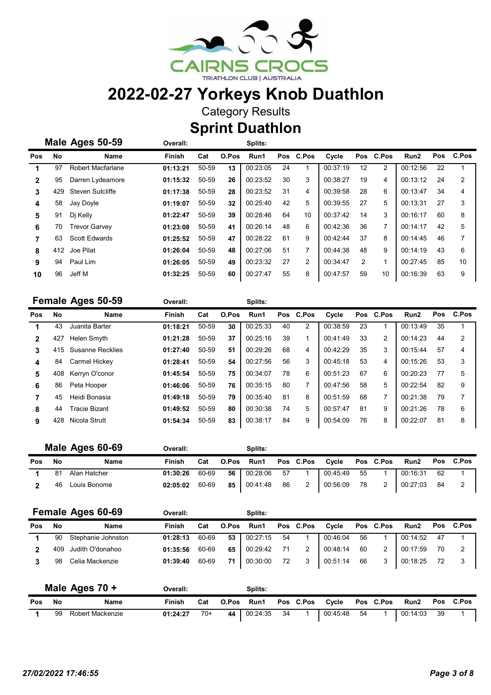

Category Results

**Sprint Duathlon** 

|              |     | Male Ages 50-59      | Overall:      |       |       | Splits:  |    |                |          |     |                |                  |    |           |
|--------------|-----|----------------------|---------------|-------|-------|----------|----|----------------|----------|-----|----------------|------------------|----|-----------|
| <b>Pos</b>   | No  | Name                 | <b>Finish</b> | Cat   | O.Pos | Run1     |    | Pos C.Pos      | Cycle    | Pos | C.Pos          | Run <sub>2</sub> |    | Pos C.Pos |
|              | 97  | Robert Macfarlane    | 01:13:21      | 50-59 | 13    | 00:23:05 | 24 |                | 00:37:19 | 12  | $\overline{2}$ | 00:12:56         | 22 |           |
| $\mathbf{2}$ | 95  | Darren Lydeamore     | 01:15:32      | 50-59 | 26    | 00:23:52 | 30 | 3              | 00:38:27 | 19  | 4              | 00:13:12         | 24 | 2         |
| 3            | 429 | Steven Sutcliffe     | 01:17:38      | 50-59 | 28    | 00:23:52 | 31 | 4              | 00:39:58 | 28  | 6              | 00:13:47         | 34 | 4         |
| 4            | 58  | Jay Doyle            | 01:19:07      | 50-59 | 32    | 00:25:40 | 42 | 5              | 00:39:55 | 27  | 5              | 00:13:31         | 27 | 3         |
| 5            | 91  | Di Kelly             | 01:22:47      | 50-59 | 39    | 00:28:46 | 64 | 10             | 00:37:42 | 14  | 3              | 00:16:17         | 60 | 8         |
| 6            | 70  | <b>Trevor Garvey</b> | 01:23:08      | 50-59 | 41    | 00:26:14 | 48 | 6              | 00:42:36 | 36  | 7              | 00:14:17         | 42 | 5         |
| 7            | 63  | <b>Scott Edwards</b> | 01:25:52      | 50-59 | 47    | 00:28:22 | 61 | 9              | 00:42:44 | 37  | 8              | 00:14:45         | 46 |           |
| 8            |     | 412 Joe Pilat        | 01:26:04      | 50-59 | 48    | 00:27:06 | 51 | 7              | 00:44:38 | 48  | 9              | 00:14:19         | 43 | 6         |
| 9            | 94  | Paul Lim             | 01:26:05      | 50-59 | 49    | 00:23:32 | 27 | $\overline{2}$ | 00:34:47 | 2   |                | 00:27:45         | 85 | 10        |
| 10           | 96  | Jeff M               | 01:32:25      | 50-59 | 60    | 00:27:47 | 55 | 8              | 00:47:57 | 59  | 10             | 00:16:39         | 63 | 9         |

|              |     | <b>Female Ages 50-59</b> | Overall:      |       |       | Splits:  |    |                         |          |    |           |                  |    |           |
|--------------|-----|--------------------------|---------------|-------|-------|----------|----|-------------------------|----------|----|-----------|------------------|----|-----------|
| <b>Pos</b>   | No  | <b>Name</b>              | <b>Finish</b> | Cat   | O.Pos | Run1     |    | Pos C.Pos               | Cycle    |    | Pos C.Pos | Run <sub>2</sub> |    | Pos C.Pos |
|              | 43  | Juanita Barter           | 01:18:21      | 50-59 | 30    | 00:25:33 | 40 | 2                       | 00:38:59 | 23 |           | 00:13:49         | 35 | 1         |
| $\mathbf{2}$ | 427 | Helen Smyth              | 01:21:28      | 50-59 | 37    | 00:25:16 | 39 | $\overline{\mathbf{A}}$ | 00:41:49 | 33 | 2         | 00:14:23         | 44 | 2         |
| 3            | 415 | <b>Susanne Recklies</b>  | 01:27:40      | 50-59 | 51    | 00:29:26 | 68 | 4                       | 00:42:29 | 35 | 3         | 00:15:44         | 57 | 4         |
| 4            | 84  | Carmel Hickey            | 01:28:41      | 50-59 | 54    | 00:27:56 | 56 | 3                       | 00:45:18 | 53 | 4         | 00:15:26         | 53 | 3         |
| 5            | 408 | Kerryn O'conor           | 01:45:54      | 50-59 | 75    | 00:34:07 | 78 | 6                       | 00:51:23 | 67 | 6         | 00:20:23         | 77 | 5         |
| 6            | 86  | Peta Hooper              | 01:46:06      | 50-59 | 76    | 00:35:15 | 80 | 7                       | 00:47:56 | 58 | 5         | 00:22:54         | 82 | 9         |
|              | 45  | Heidi Bonasia            | 01:49:18      | 50-59 | 79    | 00:35:40 | 81 | 8                       | 00:51:59 | 68 | 7         | 00:21:38         | 79 | 7         |
| 8            | 44  | <b>Tracie Bizant</b>     | 01:49:52      | 50-59 | 80    | 00:30:38 | 74 | 5                       | 00:57:47 | 81 | 9         | 00:21:26         | 78 | 6         |
| 9            | 428 | Nicola Strutt            | 01:54:34      | 50-59 | 83    | 00:38:17 | 84 | 9                       | 00:54:09 | 76 | 8         | 00:22:07         | 81 | 8         |

|            |    | Male Ages 60-69 | Overall: |       |    | Splits:    |    |                  |             |      |                  |             |    |           |
|------------|----|-----------------|----------|-------|----|------------|----|------------------|-------------|------|------------------|-------------|----|-----------|
| <b>Pos</b> | No | Name            | Finish   | Cat   |    | O.Pos Run1 |    | <b>Pos</b> C.Pos | Cvcle       |      | <b>Pos</b> C.Pos | <b>Run2</b> |    | Pos C.Pos |
|            | 81 | Alan Hatcher    | 01:30:26 | 60-69 | 56 | 00:28:06   | 57 |                  | 00:45:49 55 |      |                  | 00:16:31    | 62 |           |
|            | 46 | Louis Bonome    | 02:05:02 | 60-69 | 85 | 00:41:48   | 86 |                  | 00:56:09    | - 78 |                  | 00:27:03    | 84 |           |

|     |     | Female Ages 60-69  | Overall: |       |       | Splits:  |    |                |          |    |           |                  |    |                |
|-----|-----|--------------------|----------|-------|-------|----------|----|----------------|----------|----|-----------|------------------|----|----------------|
| Pos | No  | Name               | Finish   | Cat   | O.Pos | Run1     |    | Pos C.Pos      | Cycle    |    | Pos C.Pos | Run <sub>2</sub> |    | Pos C.Pos      |
|     | 90  | Stephanie Johnston | 01:28:13 | 60-69 | 53    | 00:27:15 | 54 |                | 00:46:04 | 56 |           | 00:14:52         | 47 |                |
|     | 409 | Judith O'donahoo   | 01:35:56 | 60-69 | 65    | 00:29:42 | 71 | $\overline{2}$ | 00:48:14 | 60 |           | 00:17:59         | 70 | $\overline{2}$ |
|     | 98  | Celia Mackenzie    | 01:39:40 | 60-69 | 71    | 00:30:00 | 72 | 3              | 00:51:14 | 66 | 3         | 00:18:25         |    | 3              |

| Male Ages 70 + |    |                  | Overall: |       |    | Splits:    |      |                 |      |                  |                |      |  |
|----------------|----|------------------|----------|-------|----|------------|------|-----------------|------|------------------|----------------|------|--|
| <b>Pos</b>     | No | Name             | Finish   | Cat   |    | O.Pos Run1 |      | Pos C.Pos Cycle |      | <b>Pos</b> C.Pos | Run2 Pos C.Pos |      |  |
|                | 99 | Robert Mackenzie | 01:24:27 | $70+$ | 44 | 00:24:35   | - 34 | 00:45:48        | - 54 |                  | 00:14:03       | - 39 |  |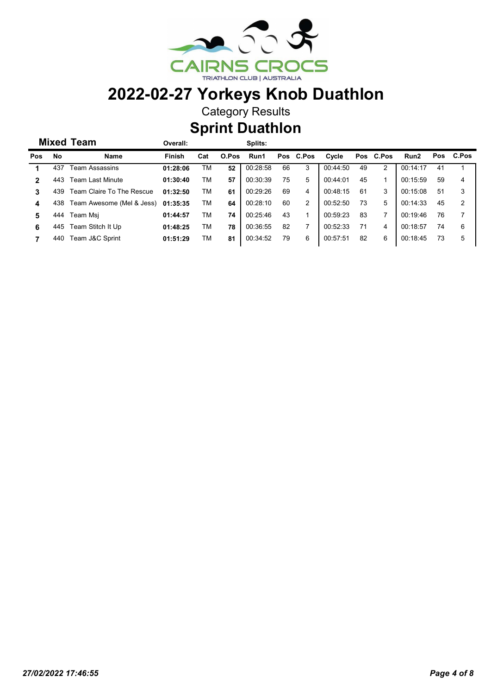

Category Results

Sprint Duathlon

Overall: Splits:

| <b>Pos</b> | No  | Name                      | <b>Finish</b> | Cat | O.Pos | Run1     |    | Pos C.Pos | Cycle    |    | Pos C.Pos | Run2     | <b>Pos</b> | C.Pos |
|------------|-----|---------------------------|---------------|-----|-------|----------|----|-----------|----------|----|-----------|----------|------------|-------|
|            | 437 | Team Assassins            | 01:28:06      | ТM  | 52    | 00:28:58 | 66 | 3         | 00:44:50 | 49 | 2         | 00:14:17 | 41         |       |
|            | 443 | <b>Team Last Minute</b>   | 01:30:40      | ТM  | 57    | 00:30:39 | 75 | 5         | 00:44:01 | 45 |           | 00:15:59 | 59         | 4     |
|            | 439 | Team Claire To The Rescue | 01:32:50      | ТM  | 61    | 00:29:26 | 69 | 4         | 00:48:15 | 61 | 3         | 00:15:08 | 51         | 3     |
| 4          | 438 | Team Awesome (Mel & Jess) | 01:35:35      | ТM  | 64    | 00:28:10 | 60 | 2         | 00:52:50 | 73 | 5         | 00:14:33 | 45         | 2     |
| 5          | 444 | Team Msi                  | 01:44:57      | ТM  | 74    | 00:25:46 | 43 |           | 00:59:23 | 83 |           | 00:19:46 | 76         |       |
| 6          | 445 | Team Stitch It Up         | 01:48:25      | тм  | 78    | 00:36:55 | 82 |           | 00:52:33 | 71 | 4         | 00:18:57 | 74         | 6     |
|            | 440 | Team J&C Sprint           | 01:51:29      | тм  | 81    | 00:34:52 | 79 | 6         | 00:57:51 | 82 | 6         | 00:18:45 | 73         | 5     |

Mixed Team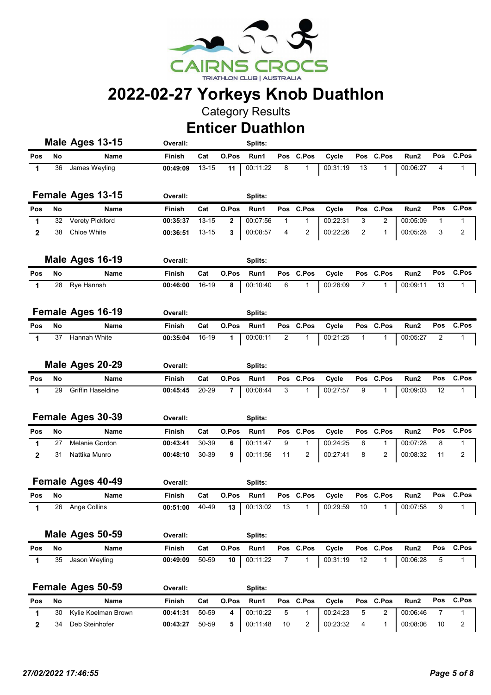

Category Results

Enticer Duathlon

|              |    | Male Ages 13-15          | Overall:       |           |              | Splits:  |                |              |                                |              |                |                    |                |                |
|--------------|----|--------------------------|----------------|-----------|--------------|----------|----------------|--------------|--------------------------------|--------------|----------------|--------------------|----------------|----------------|
| Pos          | No | Name                     | Finish         | Cat       | O.Pos        | Run1     |                | Pos C.Pos    | Cycle                          | Pos          | <b>C.Pos</b>   | Run2               | Pos            | C.Pos          |
| $\mathbf 1$  | 36 | James Weyling            | 00:49:09       | $13 - 15$ | 11           | 00:11:22 | 8              | 1            | 00:31:19                       | 13           | 1              | 00:06:27           | 4              | 1              |
|              |    | Female Ages 13-15        | Overall:       |           |              | Splits:  |                |              |                                |              |                |                    |                |                |
| Pos          | No | Name                     | <b>Finish</b>  | Cat       | O.Pos        | Run1     | Pos            | C.Pos        | Cycle                          | <b>Pos</b>   | C.Pos          | Run <sub>2</sub>   | Pos            | C.Pos          |
| 1            | 32 | Verety Pickford          | 00:35:37       | $13 - 15$ | $\mathbf{2}$ | 00:07:56 | 1              | 1            | 00:22:31                       | 3            | 2              | 00:05:09           | 1              | 1              |
| $\mathbf{2}$ | 38 | Chloe White              | 00:36:51       | $13 - 15$ | 3            | 00:08:57 | 4              | 2            | 00:22:26                       | 2            | 1              | 00:05:28           | 3              | $\overline{2}$ |
|              |    | Male Ages 16-19          | Overall:       |           |              | Splits:  |                |              |                                |              |                |                    |                |                |
| Pos          | No | Name                     | <b>Finish</b>  | Cat       | O.Pos        | Run1     | Pos            | C.Pos        | Cycle                          | Pos          | C.Pos          | Run2               | Pos            | C.Pos          |
| 1            | 28 | Rye Hannsh               | 00:46:00       | 16-19     | 8            | 00:10:40 | 6              | 1            | 00:26:09                       | 7            | 1              | 00:09:11           | 13             | 1              |
|              |    | <b>Female Ages 16-19</b> | Overall:       |           |              | Splits:  |                |              |                                |              |                |                    |                |                |
| Pos          | No | Name                     | Finish         | Cat       | O.Pos        | Run1     | Pos            | C.Pos        | Cycle                          |              | Pos C.Pos      | Run2               | Pos            | C.Pos          |
| $\mathbf 1$  | 37 | Hannah White             | 00:35:04       | 16-19     | 1            | 00:08:11 | $\overline{2}$ | 1            | 00:21:25                       | $\mathbf{1}$ | 1              | 00:05:27           | $\overline{2}$ | 1              |
|              |    | Male Ages 20-29          | Overall:       |           |              | Splits:  |                |              |                                |              |                |                    |                |                |
| Pos          | No | <b>Name</b>              | <b>Finish</b>  | Cat       | O.Pos        | Run1     | Pos            | C.Pos        | Cycle                          |              | Pos C.Pos      | Run2               | Pos            | C.Pos          |
| 1            | 29 | <b>Griffin Haseldine</b> | 00:45:45       | 20-29     | 7            | 00:08:44 | 3              | 1            | 00:27:57                       | 9            | 1              | 00:09:03           | 12             | $\mathbf{1}$   |
|              |    |                          |                |           |              |          |                |              |                                |              |                |                    |                |                |
|              |    | <b>Female Ages 30-39</b> | Overall:       |           |              | Splits:  |                |              |                                |              |                |                    |                |                |
| Pos          | No | Name                     | Finish         | Cat       | O.Pos        | Run1     | Pos            | C.Pos        | Cycle                          | Pos          | C.Pos          | Run2               | Pos            | C.Pos          |
| 1            | 27 | Melanie Gordon           | 00:43:41       | 30-39     | 6            | 00:11:47 | 9              | $\mathbf{1}$ | 00:24:25                       | 6            | 1              | 00:07:28           | 8              | 1              |
| $\mathbf{2}$ | 31 | Nattika Munro            | 00:48:10       | 30-39     | 9            | 00:11:56 | 11             | 2            | 00:27:41                       | 8            | 2              | 00:08:32           | 11             | 2              |
|              |    |                          |                |           |              |          |                |              |                                |              |                |                    |                |                |
|              |    | Female Ages 40-49        | Overall:       |           |              | Splits:  |                |              |                                |              |                |                    |                |                |
| Pos          | No | Name                     | Finish         | Cat       | O.Pos        | Run1     | Pos            | C.Pos        | Cycle                          | Pos          | C.Pos          | Run2               | Pos            | C.Pos          |
| 1            |    | 26 Ange Collins          | 00:51:00 40-49 |           |              |          |                |              | 13 00:13:02 13 1 00:29:59 10 1 |              |                | $\boxed{00:07:58}$ | 9              |                |
|              |    |                          |                |           |              |          |                |              |                                |              |                |                    |                |                |
|              |    | Male Ages 50-59          | Overall:       |           |              | Splits:  |                |              |                                |              |                |                    |                |                |
| Pos          | No | Name                     | Finish         | Cat       | O.Pos        | Run1     |                | Pos C.Pos    | Cycle                          |              | Pos C.Pos      | Run2               | Pos            | C.Pos          |
| $\mathbf 1$  | 35 | Jason Weyling            | 00:49:09       | 50-59     | 10           | 00:11:22 | $\overline{7}$ | $\mathbf{1}$ | 00:31:19                       | 12           | $\mathbf{1}$   | 00:06:28           | 5              | $\mathbf{1}$   |
|              |    | Female Ages 50-59        | Overall:       |           |              | Splits:  |                |              |                                |              |                |                    |                |                |
| Pos          | No | Name                     | Finish         | Cat       | O.Pos        | Run1     |                | Pos C.Pos    | Cycle                          |              | Pos C.Pos      | Run2               | Pos            | C.Pos          |
| 1            | 30 | Kylie Koelman Brown      | 00:41:31       | 50-59     | 4            | 00:10:22 | 5              | $\mathbf{1}$ | 00:24:23                       | 5            | $\overline{2}$ | 00:06:46           | 7              | 1              |

2 34 Deb Steinhofer 00:43:27 5 50-59 00:11:48 10 2 1 00:23:32 00:08:06 10 2 <sup>4</sup>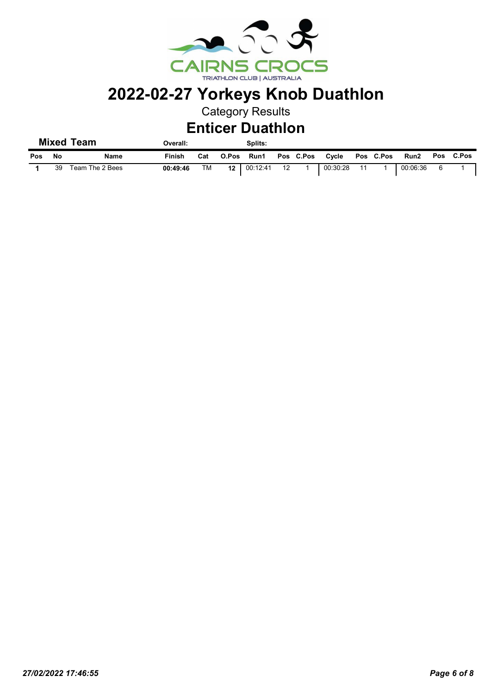

Category Results

#### Enticer Duathlon

Overall: Splits:

| Pos | - No | Name            | Finish   | Cat | O.Pos | Run1               |     | Pos C.Pos | Cycle    |    | Pos C.Pos | Run2     | Pos C.Pos |
|-----|------|-----------------|----------|-----|-------|--------------------|-----|-----------|----------|----|-----------|----------|-----------|
|     | 39   | Team The 2 Bees | 00:49:46 | TM  |       | $12 \mid 00:12:41$ | -12 |           | 00:30:28 | 11 |           | 00:06:36 |           |

Mixed Team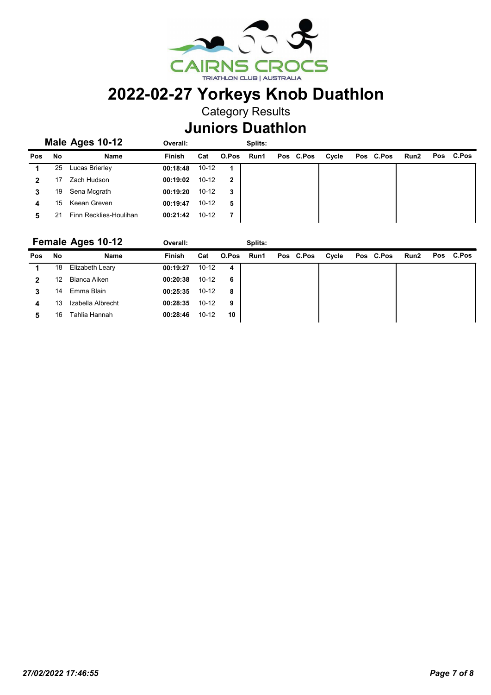

Category Results

#### Juniors Duathlon

|     |    | Male Ages 10-12        | Overall:      |           |             | Splits: |           |       |           |      |           |
|-----|----|------------------------|---------------|-----------|-------------|---------|-----------|-------|-----------|------|-----------|
| Pos | No | Name                   | <b>Finish</b> | Cat       | O.Pos       | Run1    | Pos C.Pos | Cycle | Pos C.Pos | Run2 | Pos C.Pos |
|     | 25 | Lucas Brierley         | 00:18:48      | $10 - 12$ | $\mathbf 1$ |         |           |       |           |      |           |
| 2   |    | Zach Hudson            | 00:19:02      | $10 - 12$ | 2           |         |           |       |           |      |           |
| 3   | 19 | Sena Mcgrath           | 00:19:20      | $10 - 12$ | 3           |         |           |       |           |      |           |
| 4   | 15 | Keean Greven           | 00:19:47      | $10 - 12$ | 5           |         |           |       |           |      |           |
| 5   |    | Finn Recklies-Houlihan | 00:21:42      | $10 - 12$ | 7           |         |           |       |           |      |           |

|     |    | <b>Female Ages 10-12</b> | Overall: |           |       | Splits: |           |       |           |      |           |
|-----|----|--------------------------|----------|-----------|-------|---------|-----------|-------|-----------|------|-----------|
| Pos | No | Name                     | Finish   | Cat       | O.Pos | Run1    | Pos C.Pos | Cycle | Pos C.Pos | Run2 | Pos C.Pos |
|     | 18 | Elizabeth Leary          | 00:19:27 | $10 - 12$ | 4     |         |           |       |           |      |           |
|     | 12 | Bianca Aiken             | 00:20:38 | $10 - 12$ | 6     |         |           |       |           |      |           |
| 3   | 14 | Emma Blain               | 00:25:35 | $10 - 12$ | 8     |         |           |       |           |      |           |
| 4   | 13 | Izabella Albrecht        | 00:28:35 | $10 - 12$ | 9     |         |           |       |           |      |           |
| 5   | 16 | Tahlia Hannah            | 00:28:46 | $10 - 12$ | 10    |         |           |       |           |      |           |